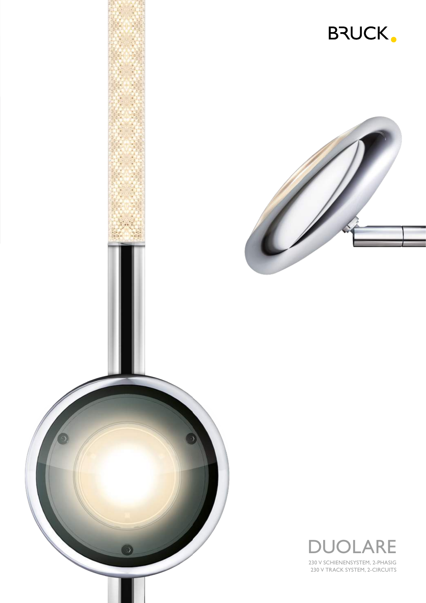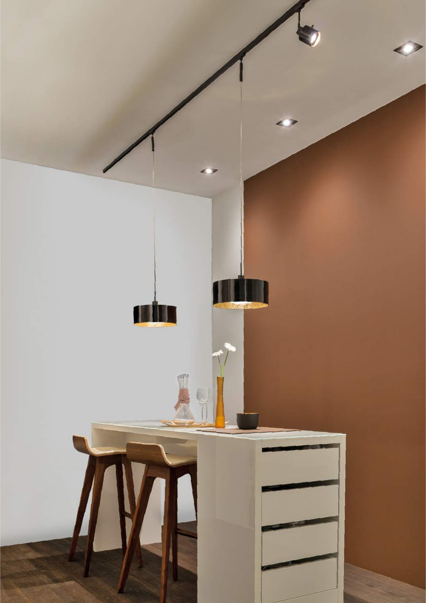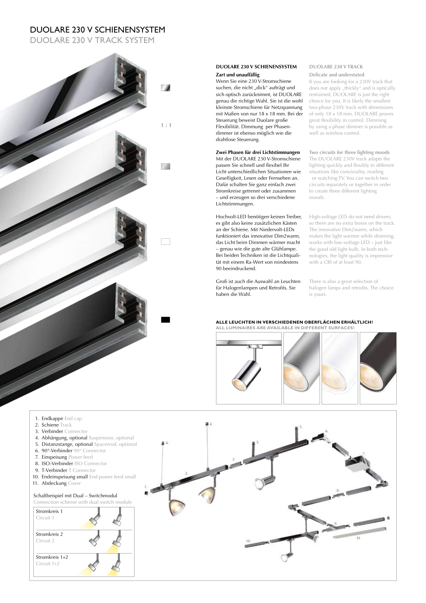# DUOLARE 230 V SCHIENENSYSTEM

DUOLARE 230 V TRACK SYSTEM



### **Zart und unauffällig DUOLARE 230 V SCHIENENSYSTEM DUOLARE 230 V TRACK**

Wenn Sie eine 230 V-Stromschiene suchen, die nicht "dick" aufträgt und sich optisch zurücknimmt, ist DUOLARE genau die richtige Wahl. Sie ist die wohl kleinste Stromschiene für Netzspannung mit Maßen von nur 18 x 18 mm. Bei der Steuerung beweist Duolare große Flexibilität. Dimmung per Phasendimmer ist ebenso möglich wie die drahtlose Steuerung.

## **Zwei Phasen für drei Lichtstimmungen**

Mit der DUOLARE 230 V-Stromschiene passen Sie schnell und flexibel Ihr Licht unterschiedlichen Situationen wie Geselligkeit, Lesen oder Fernsehen an. Dafür schalten Sie ganz einfach zwei Stromkreise getrennt oder zusammen – und erzeugen so drei verschiedene Lichtstimmungen.

Hochvolt-LED benötigen keinen Treiber, es gibt also keine zusätzlichen Kästen an der Schiene. Mit Niedervolt-LEDs funktioniert das innovative Dim2warm, das Licht beim Dimmen wärmer macht – genau wie die gute alte Glühlampe. Bei beiden Techniken ist die Lichtqualität mit einem Ra-Wert von mindestens 90 beeindruckend.

Groß ist auch die Auswahl an Leuchten für Halogenlampen und Retrofits. Sie haben die Wahl.

# **Delicate and understated**

If you are looking for a 230V track that does not apply "thickly" and is optically restrained, DUOLARE is just the right choice for you. It is likely the smallest two-phase 230V track with dimensions of only 18 x 18 mm. DUOLARE proves great flexibility in control. Dimming by using a phase dimmer is possible as well as wireless control.

**Two circuits for three lighting moods**  The DUOLARE 230V track adapts the lighting quickly and flexibly to different situations like conviviality, reading or watching TV. You can switch two circuits separately or together in order to create three different lighting moods.

High-voltage LED do not need drivers, so there are no extra boxes on the track. The innovative Dim2warm, which makes the light warmer while dimming, works with low-voltage LED – just like the good old light bulb. In both technologies, the light quality is impressive with a CRI of at least 90.

There is also a great selection of halogen lamps and retrofits. The choice is yours.

## **ALLE LEUCHTEN IN VERSCHIEDENEN OBERFLÄCHEN ERHÄLTLICH!**



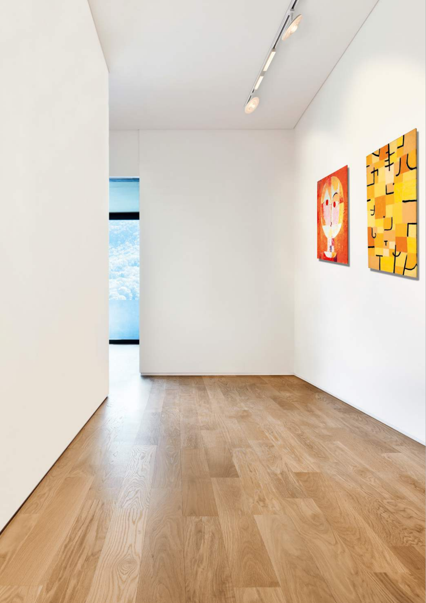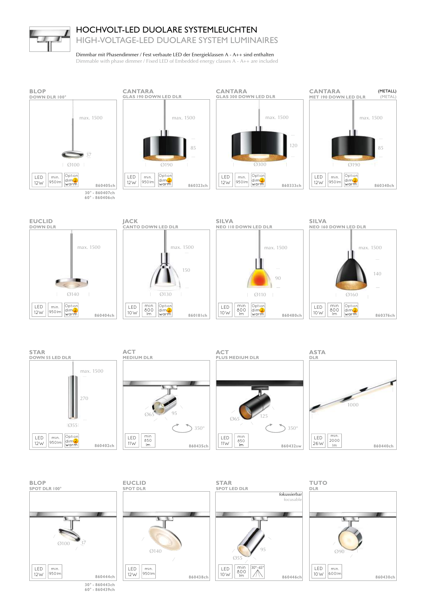**EUCLID DOWN DLR**

> LED 12W

min. 950lm

dim<sup>2</sup> **Option** 

## HOCHVOLT-LED DUOLARE SYSTEMLEUCHTEN

HIGH-VOLTAGE-LED DUOLARE SYSTEM LUMINAIRES

Dimmbar mit Phasendimmer / Fest verbaute LED der Energieklassen A - A++ sind enthalten Dimmable with phase dimmer / Fixed LED of Embedded energy classes A - A++ are included



**30° - 860407ch 60° - 860406ch**





 $90$ 



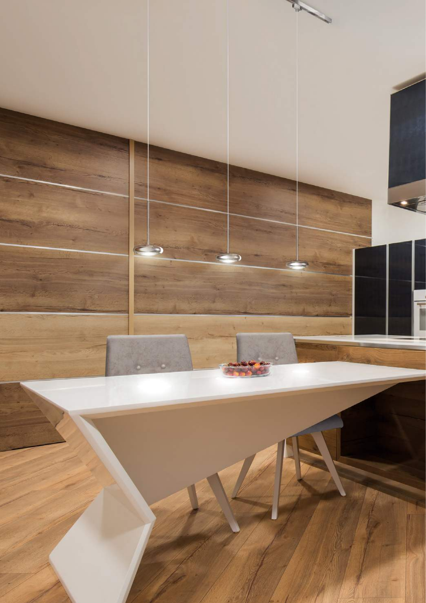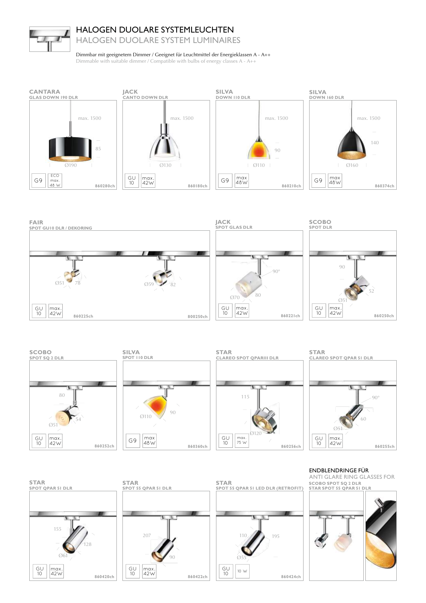

HALOGEN DUOLARE SYSTEMLEUCHTEN

HALOGEN DUOLARE SYSTEM LUMINAIRES

Dimmbar mit geeignetem Dimmer / Geeignet für Leuchtmittel der Energieklassen A - A++ Dimmable with suitable dimmer / Compatible with bulbs of energy classes A - A++









ENDBLENDRINGE FÜR

ANTI GLARE RING GLASSES FOR **SCOBO SPOT SQ 2 DLR STAR SPOT 55 QPAR 51 DL**